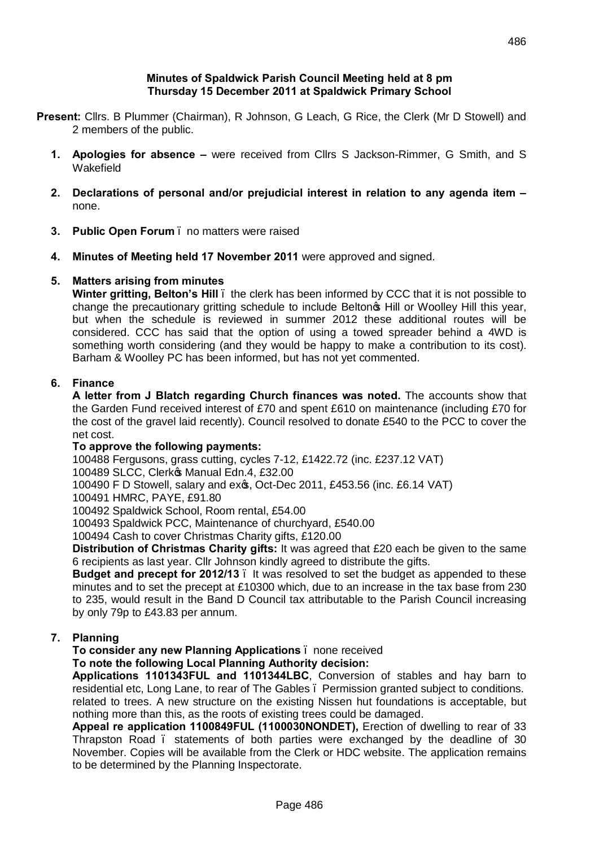#### **Minutes of Spaldwick Parish Council Meeting held at 8 pm Thursday 15 December 2011 at Spaldwick Primary School**

- **Present:** Cllrs. B Plummer (Chairman), R Johnson, G Leach, G Rice, the Clerk (Mr D Stowell) and 2 members of the public.
	- **1. Apologies for absence –** were received from Cllrs S Jackson-Rimmer, G Smith, and S Wakefield
	- **2. Declarations of personal and/or prejudicial interest in relation to any agenda item –** none.
	- **3. Public Open Forum** no matters were raised
	- **4. Minutes of Meeting held 17 November 2011** were approved and signed.

## **5. Matters arising from minutes**

**Winter gritting, Belton's Hill** – the clerk has been informed by CCC that it is not possible to change the precautionary gritting schedule to include Belton<sup>®</sup> Hill or Woolley Hill this year, but when the schedule is reviewed in summer 2012 these additional routes will be considered. CCC has said that the option of using a towed spreader behind a 4WD is something worth considering (and they would be happy to make a contribution to its cost). Barham & Woolley PC has been informed, but has not yet commented.

## **6. Finance**

**A letter from J Blatch regarding Church finances was noted.** The accounts show that the Garden Fund received interest of £70 and spent £610 on maintenance (including £70 for the cost of the gravel laid recently). Council resolved to donate £540 to the PCC to cover the net cost.

## **To approve the following payments:**

100488 Fergusons, grass cutting, cycles 7-12, £1422.72 (inc. £237.12 VAT)

100489 SLCC, Clerk<sup>®</sup> Manual Edn.4, £32.00

100490 F D Stowell, salary and ex $\infty$ , Oct-Dec 2011, £453.56 (inc. £6.14 VAT)

100491 HMRC, PAYE, £91.80

100492 Spaldwick School, Room rental, £54.00

100493 Spaldwick PCC, Maintenance of churchyard, £540.00

100494 Cash to cover Christmas Charity gifts, £120.00

**Distribution of Christmas Charity gifts:** It was agreed that £20 each be given to the same 6 recipients as last year. Cllr Johnson kindly agreed to distribute the gifts.

**Budget and precept for 2012/13** – It was resolved to set the budget as appended to these minutes and to set the precept at £10300 which, due to an increase in the tax base from 230 to 235, would result in the Band D Council tax attributable to the Parish Council increasing by only 79p to £43.83 per annum.

## **7. Planning**

**To consider any new Planning Applications** – none received

## **To note the following Local Planning Authority decision:**

**Applications 1101343FUL and 1101344LBC**, Conversion of stables and hay barn to residential etc, Long Lane, to rear of The Gables – Permission granted subject to conditions. related to trees. A new structure on the existing Nissen hut foundations is acceptable, but nothing more than this, as the roots of existing trees could be damaged.

**Appeal re application 1100849FUL (1100030NONDET),** Erection of dwelling to rear of 33 Thrapston Road – statements of both parties were exchanged by the deadline of 30 November. Copies will be available from the Clerk or HDC website. The application remains to be determined by the Planning Inspectorate.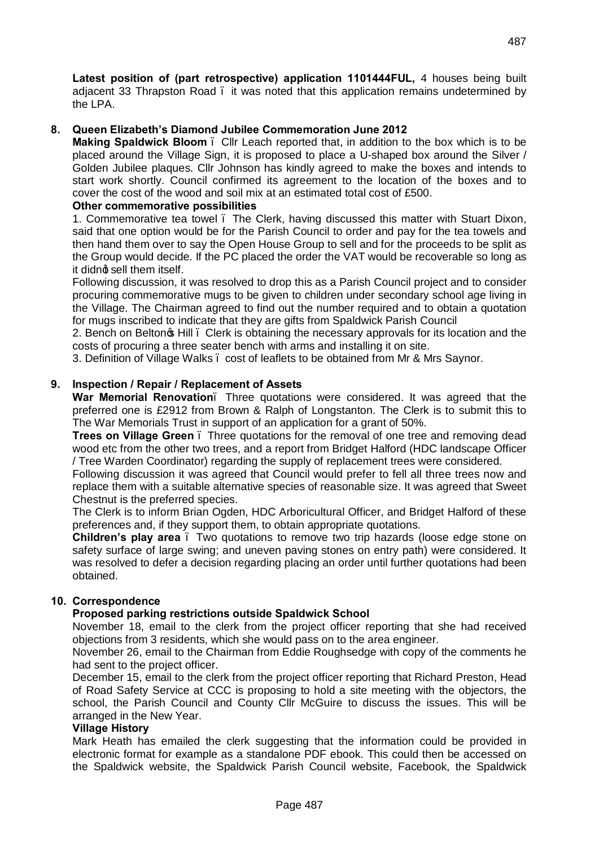**Latest position of (part retrospective) application 1101444FUL,** 4 houses being built adjacent 33 Thrapston Road . it was noted that this application remains undetermined by the LPA.

### **8. Queen Elizabeth's Diamond Jubilee Commemoration June 2012**

**Making Spaldwick Bloom** – Cllr Leach reported that, in addition to the box which is to be placed around the Village Sign, it is proposed to place a U-shaped box around the Silver / Golden Jubilee plaques. Cllr Johnson has kindly agreed to make the boxes and intends to start work shortly. Council confirmed its agreement to the location of the boxes and to cover the cost of the wood and soil mix at an estimated total cost of £500.

#### **Other commemorative possibilities**

1. Commemorative tea towel – The Clerk, having discussed this matter with Stuart Dixon, said that one option would be for the Parish Council to order and pay for the tea towels and then hand them over to say the Open House Group to sell and for the proceeds to be split as the Group would decide. If the PC placed the order the VAT would be recoverable so long as it didno sell them itself.

Following discussion, it was resolved to drop this as a Parish Council project and to consider procuring commemorative mugs to be given to children under secondary school age living in the Village. The Chairman agreed to find out the number required and to obtain a quotation for mugs inscribed to indicate that they are gifts from Spaldwick Parish Council

2. Bench on Belton<sub>®</sub> Hill . Clerk is obtaining the necessary approvals for its location and the costs of procuring a three seater bench with arms and installing it on site.

3. Definition of Village Walks – cost of leaflets to be obtained from Mr & Mrs Saynor.

#### **9. Inspection / Repair / Replacement of Assets**

**War Memorial Renovation**– Three quotations were considered. It was agreed that the preferred one is £2912 from Brown & Ralph of Longstanton. The Clerk is to submit this to The War Memorials Trust in support of an application for a grant of 50%.

**Trees on Village Green** – Three quotations for the removal of one tree and removing dead wood etc from the other two trees, and a report from Bridget Halford (HDC landscape Officer / Tree Warden Coordinator) regarding the supply of replacement trees were considered.

Following discussion it was agreed that Council would prefer to fell all three trees now and replace them with a suitable alternative species of reasonable size. It was agreed that Sweet Chestnut is the preferred species.

The Clerk is to inform Brian Ogden, HDC Arboricultural Officer, and Bridget Halford of these preferences and, if they support them, to obtain appropriate quotations.

**Children's play area** – Two quotations to remove two trip hazards (loose edge stone on safety surface of large swing; and uneven paving stones on entry path) were considered. It was resolved to defer a decision regarding placing an order until further quotations had been obtained.

#### **10. Correspondence**

#### **Proposed parking restrictions outside Spaldwick School**

November 18, email to the clerk from the project officer reporting that she had received objections from 3 residents, which she would pass on to the area engineer.

November 26, email to the Chairman from Eddie Roughsedge with copy of the comments he had sent to the project officer.

December 15, email to the clerk from the project officer reporting that Richard Preston, Head of Road Safety Service at CCC is proposing to hold a site meeting with the objectors, the school, the Parish Council and County Cllr McGuire to discuss the issues. This will be arranged in the New Year.

#### **Village History**

Mark Heath has emailed the clerk suggesting that the information could be provided in electronic format for example as a standalone PDF ebook. This could then be accessed on the Spaldwick website, the Spaldwick Parish Council website, Facebook, the Spaldwick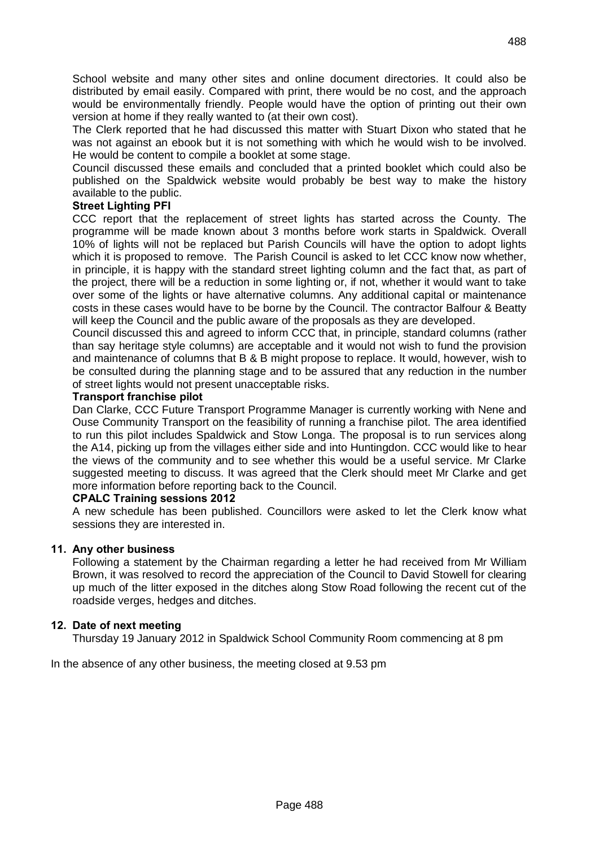School website and many other sites and online document directories. It could also be distributed by email easily. Compared with print, there would be no cost, and the approach would be environmentally friendly. People would have the option of printing out their own version at home if they really wanted to (at their own cost).

The Clerk reported that he had discussed this matter with Stuart Dixon who stated that he was not against an ebook but it is not something with which he would wish to be involved. He would be content to compile a booklet at some stage.

Council discussed these emails and concluded that a printed booklet which could also be published on the Spaldwick website would probably be best way to make the history available to the public.

### **Street Lighting PFI**

CCC report that the replacement of street lights has started across the County. The programme will be made known about 3 months before work starts in Spaldwick. Overall 10% of lights will not be replaced but Parish Councils will have the option to adopt lights which it is proposed to remove. The Parish Council is asked to let CCC know now whether, in principle, it is happy with the standard street lighting column and the fact that, as part of the project, there will be a reduction in some lighting or, if not, whether it would want to take over some of the lights or have alternative columns. Any additional capital or maintenance costs in these cases would have to be borne by the Council. The contractor Balfour & Beatty will keep the Council and the public aware of the proposals as they are developed.

Council discussed this and agreed to inform CCC that, in principle, standard columns (rather than say heritage style columns) are acceptable and it would not wish to fund the provision and maintenance of columns that B & B might propose to replace. It would, however, wish to be consulted during the planning stage and to be assured that any reduction in the number of street lights would not present unacceptable risks.

#### **Transport franchise pilot**

Dan Clarke, CCC Future Transport Programme Manager is currently working with Nene and Ouse Community Transport on the feasibility of running a franchise pilot. The area identified to run this pilot includes Spaldwick and Stow Longa. The proposal is to run services along the A14, picking up from the villages either side and into Huntingdon. CCC would like to hear the views of the community and to see whether this would be a useful service. Mr Clarke suggested meeting to discuss. It was agreed that the Clerk should meet Mr Clarke and get more information before reporting back to the Council.

#### **CPALC Training sessions 2012**

A new schedule has been published. Councillors were asked to let the Clerk know what sessions they are interested in.

## **11. Any other business**

Following a statement by the Chairman regarding a letter he had received from Mr William Brown, it was resolved to record the appreciation of the Council to David Stowell for clearing up much of the litter exposed in the ditches along Stow Road following the recent cut of the roadside verges, hedges and ditches.

#### **12. Date of next meeting**

Thursday 19 January 2012 in Spaldwick School Community Room commencing at 8 pm

In the absence of any other business, the meeting closed at 9.53 pm